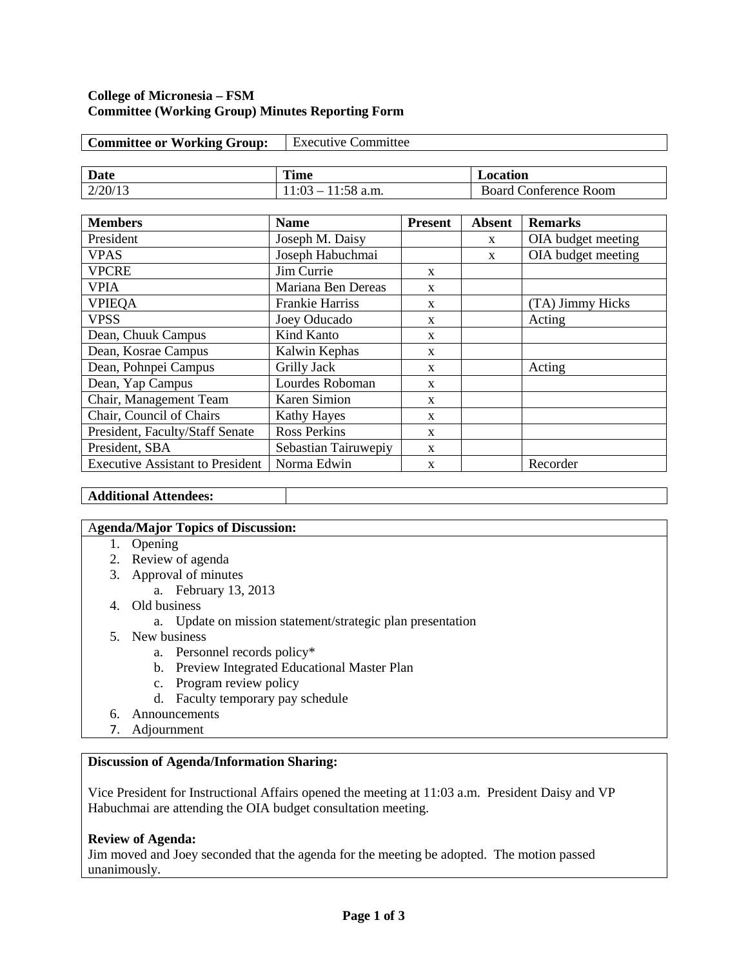#### **College of Micronesia – FSM Committee (Working Group) Minutes Reporting Form**

| <b>Committee or Working Group:</b> | <b>Executive Committee</b> |          |
|------------------------------------|----------------------------|----------|
|                                    |                            |          |
| <b>Date</b>                        | <b>Time</b>                | Location |

2/20/13 11:03 – 11:58 a.m. Board Conference Room

| <b>Members</b>                          | <b>Name</b>            | <b>Present</b> | <b>Absent</b> | <b>Remarks</b>     |
|-----------------------------------------|------------------------|----------------|---------------|--------------------|
|                                         |                        |                |               |                    |
| President                               | Joseph M. Daisy        |                | $\mathbf{x}$  | OIA budget meeting |
| <b>VPAS</b>                             | Joseph Habuchmai       |                | X             | OIA budget meeting |
| <b>VPCRE</b>                            | Jim Currie             | $\mathbf{x}$   |               |                    |
| <b>VPIA</b>                             | Mariana Ben Dereas     | X              |               |                    |
| <b>VPIEQA</b>                           | <b>Frankie Harriss</b> | X              |               | (TA) Jimmy Hicks   |
| <b>VPSS</b>                             | Joey Oducado           | $\mathbf{x}$   |               | Acting             |
| Dean, Chuuk Campus                      | Kind Kanto             | X              |               |                    |
| Dean, Kosrae Campus                     | Kalwin Kephas          | $\mathbf{x}$   |               |                    |
| Dean, Pohnpei Campus                    | Grilly Jack            | X              |               | Acting             |
| Dean, Yap Campus                        | Lourdes Roboman        | X              |               |                    |
| Chair, Management Team                  | <b>Karen Simion</b>    | $\mathbf{x}$   |               |                    |
| Chair, Council of Chairs                | <b>Kathy Hayes</b>     | X              |               |                    |
| President, Faculty/Staff Senate         | <b>Ross Perkins</b>    | $\mathbf{x}$   |               |                    |
| President, SBA                          | Sebastian Tairuwepiy   | X              |               |                    |
| <b>Executive Assistant to President</b> | Norma Edwin            | X              |               | Recorder           |

### **Additional Attendees:**

### A**genda/Major Topics of Discussion:**

- 1. Opening
- 2. Review of agenda
- 3. Approval of minutes
	- a. February 13, 2013
- 4. Old business
	- a. Update on mission statement/strategic plan presentation
- 5. New business
	- a. Personnel records policy\*
	- b. Preview Integrated Educational Master Plan
	- c. Program review policy
	- d. Faculty temporary pay schedule
- 6. Announcements
- 7. Adjournment

## **Discussion of Agenda/Information Sharing:**

Vice President for Instructional Affairs opened the meeting at 11:03 a.m. President Daisy and VP Habuchmai are attending the OIA budget consultation meeting.

## **Review of Agenda:**

Jim moved and Joey seconded that the agenda for the meeting be adopted. The motion passed unanimously.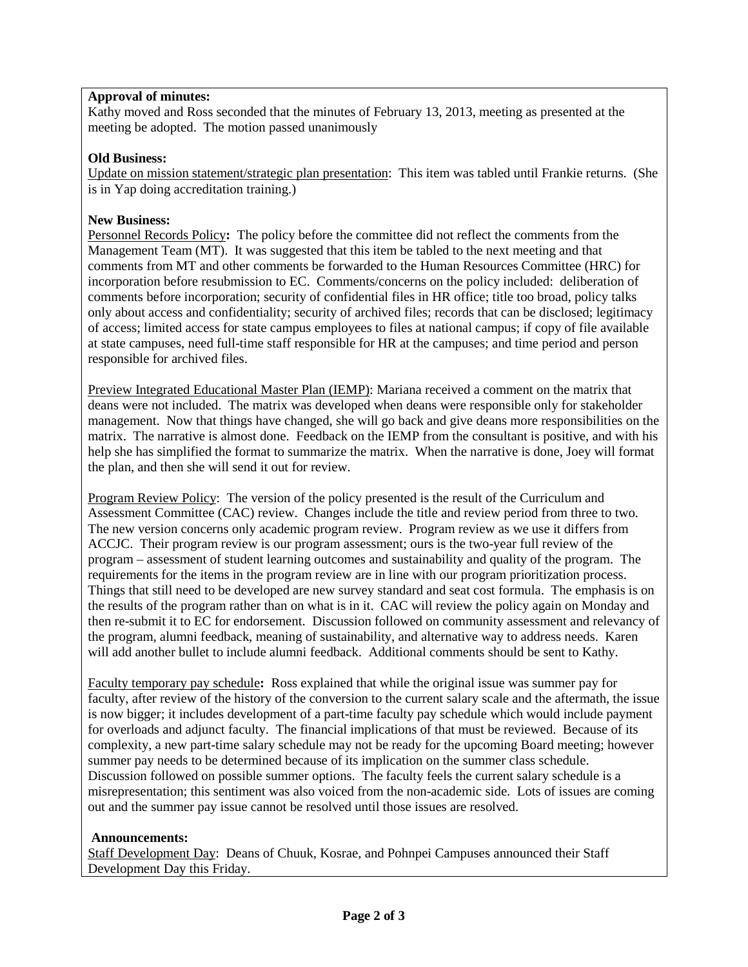# **Approval of minutes:**

Kathy moved and Ross seconded that the minutes of February 13, 2013, meeting as presented at the meeting be adopted. The motion passed unanimously

### **Old Business:**

Update on mission statement/strategic plan presentation: This item was tabled until Frankie returns. (She is in Yap doing accreditation training.)

### **New Business:**

Personnel Records Policy**:** The policy before the committee did not reflect the comments from the Management Team (MT). It was suggested that this item be tabled to the next meeting and that comments from MT and other comments be forwarded to the Human Resources Committee (HRC) for incorporation before resubmission to EC. Comments/concerns on the policy included: deliberation of comments before incorporation; security of confidential files in HR office; title too broad, policy talks only about access and confidentiality; security of archived files; records that can be disclosed; legitimacy of access; limited access for state campus employees to files at national campus; if copy of file available at state campuses, need full-time staff responsible for HR at the campuses; and time period and person responsible for archived files.

Preview Integrated Educational Master Plan (IEMP): Mariana received a comment on the matrix that deans were not included. The matrix was developed when deans were responsible only for stakeholder management. Now that things have changed, she will go back and give deans more responsibilities on the matrix. The narrative is almost done. Feedback on the IEMP from the consultant is positive, and with his help she has simplified the format to summarize the matrix. When the narrative is done, Joey will format the plan, and then she will send it out for review.

Program Review Policy: The version of the policy presented is the result of the Curriculum and Assessment Committee (CAC) review. Changes include the title and review period from three to two. The new version concerns only academic program review. Program review as we use it differs from ACCJC. Their program review is our program assessment; ours is the two-year full review of the program – assessment of student learning outcomes and sustainability and quality of the program. The requirements for the items in the program review are in line with our program prioritization process. Things that still need to be developed are new survey standard and seat cost formula. The emphasis is on the results of the program rather than on what is in it. CAC will review the policy again on Monday and then re-submit it to EC for endorsement. Discussion followed on community assessment and relevancy of the program, alumni feedback, meaning of sustainability, and alternative way to address needs. Karen will add another bullet to include alumni feedback. Additional comments should be sent to Kathy.

Faculty temporary pay schedule**:** Ross explained that while the original issue was summer pay for faculty, after review of the history of the conversion to the current salary scale and the aftermath, the issue is now bigger; it includes development of a part-time faculty pay schedule which would include payment for overloads and adjunct faculty. The financial implications of that must be reviewed. Because of its complexity, a new part-time salary schedule may not be ready for the upcoming Board meeting; however summer pay needs to be determined because of its implication on the summer class schedule. Discussion followed on possible summer options. The faculty feels the current salary schedule is a misrepresentation; this sentiment was also voiced from the non-academic side. Lots of issues are coming out and the summer pay issue cannot be resolved until those issues are resolved.

#### **Announcements:**

Staff Development Day: Deans of Chuuk, Kosrae, and Pohnpei Campuses announced their Staff Development Day this Friday.